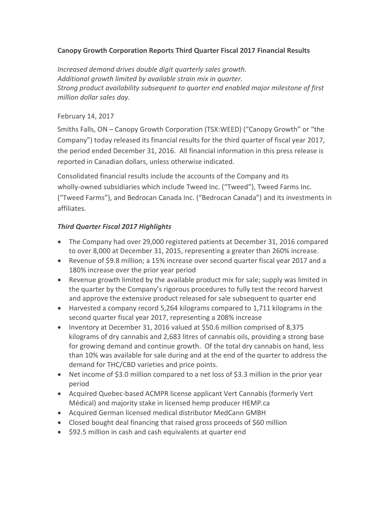## **Canopy Growth Corporation Reports Third Quarter Fiscal 2017 Financial Results**

*Increased demand drives double digit quarterly sales growth. Additional growth limited by available strain mix in quarter. Strong product availability subsequent to quarter end enabled major milestone of first million dollar sales day.*

## February 14, 2017

Smiths Falls, ON – Canopy Growth Corporation (TSX:WEED) ("Canopy Growth" or "the Company") today released its financial results for the third quarter of fiscal year 2017, the period ended December 31, 2016. All financial information in this press release is reported in Canadian dollars, unless otherwise indicated.

Consolidated financial results include the accounts of the Company and its wholly-owned subsidiaries which include Tweed Inc. ("Tweed"), Tweed Farms Inc. ("Tweed Farms"), and Bedrocan Canada Inc. ("Bedrocan Canada") and its investments in affiliates.

## *Third Quarter Fiscal 2017 Highlights*

- The Company had over 29,000 registered patients at December 31, 2016 compared to over 8,000 at December 31, 2015, representing a greater than 260% increase.
- Revenue of \$9.8 million; a 15% increase over second quarter fiscal year 2017 and a 180% increase over the prior year period
- Revenue growth limited by the available product mix for sale; supply was limited in the quarter by the Company's rigorous procedures to fully test the record harvest and approve the extensive product released for sale subsequent to quarter end
- Harvested a company record 5,264 kilograms compared to 1,711 kilograms in the second quarter fiscal year 2017, representing a 208% increase
- Inventory at December 31, 2016 valued at \$50.6 million comprised of 8,375 kilograms of dry cannabis and 2,683 litres of cannabis oils, providing a strong base for growing demand and continue growth. Of the total dry cannabis on hand, less than 10% was available for sale during and at the end of the quarter to address the demand for THC/CBD varieties and price points.
- Net income of \$3.0 million compared to a net loss of \$3.3 million in the prior year period
- Acquired Quebec-based ACMPR license applicant Vert Cannabis (formerly Vert Médical) and majority stake in licensed hemp producer HEMP.ca
- Acquired German licensed medical distributor MedCann GMBH
- Closed bought deal financing that raised gross proceeds of \$60 million
- $\bullet$  \$92.5 million in cash and cash equivalents at quarter end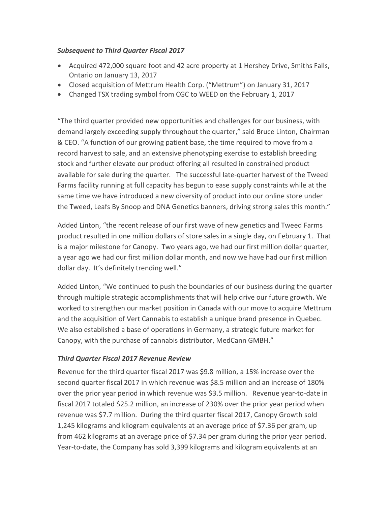#### *Subsequent to Third Quarter Fiscal 2017*

- Acquired 472,000 square foot and 42 acre property at 1 Hershey Drive, Smiths Falls, Ontario on January 13, 2017
- Closed acquisition of Mettrum Health Corp. ("Mettrum") on January 31, 2017
- Changed TSX trading symbol from CGC to WEED on the February 1, 2017

"The third quarter provided new opportunities and challenges for our business, with demand largely exceeding supply throughout the quarter," said Bruce Linton, Chairman & CEO. "A function of our growing patient base, the time required to move from a record harvest to sale, and an extensive phenotyping exercise to establish breeding stock and further elevate our product offering all resulted in constrained product available for sale during the quarter. The successful late-quarter harvest of the Tweed Farms facility running at full capacity has begun to ease supply constraints while at the same time we have introduced a new diversity of product into our online store under the Tweed, Leafs By Snoop and DNA Genetics banners, driving strong sales this month."

Added Linton, "the recent release of our first wave of new genetics and Tweed Farms product resulted in one million dollars of store sales in a single day, on February 1. That is a major milestone for Canopy. Two years ago, we had our first million dollar quarter, a year ago we had our first million dollar month, and now we have had our first million dollar day. It's definitely trending well."

Added Linton, "We continued to push the boundaries of our business during the quarter through multiple strategic accomplishments that will help drive our future growth. We worked to strengthen our market position in Canada with our move to acquire Mettrum and the acquisition of Vert Cannabis to establish a unique brand presence in Quebec. We also established a base of operations in Germany, a strategic future market for Canopy, with the purchase of cannabis distributor, MedCann GMBH."

## *Third Quarter Fiscal 2017 Revenue Review*

Revenue for the third quarter fiscal 2017 was \$9.8 million, a 15% increase over the second quarter fiscal 2017 in which revenue was \$8.5 million and an increase of 180% over the prior year period in which revenue was \$3.5 million. Revenue year-to-date in fiscal 2017 totaled \$25.2 million, an increase of 230% over the prior year period when revenue was \$7.7 million.During the third quarter fiscal 2017, Canopy Growth sold 1,245 kilograms and kilogram equivalents at an average price of \$7.36 per gram, up from 462 kilograms at an average price of \$7.34 per gram during the prior year period. Year-to-date, the Company has sold 3,399 kilograms and kilogram equivalents at an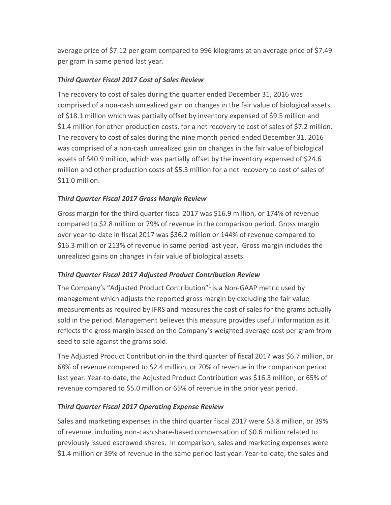average price of \$7.12 per gram compared to 996 kilograms at an average price of \$7.49 per gram in same period last year.

## *Third Quarter Fiscal 2017 Cost of Sales Review*

The recovery to cost of sales during the quarter ended December 31, 2016 was comprised of a non-cash unrealized gain on changes in the fair value of biological assets of \$18.1 million which was partially offset by inventory expensed of \$9.5 million and \$1.4 million for other production costs, for a net recovery to cost of sales of \$7.2 million. The recovery to cost of sales during the nine month period ended December 31, 2016 was comprised of a non-cash unrealized gain on changes in the fair value of biological assets of \$40.9 million, which was partially offset by the inventory expensed of \$24.6 million and other production costs of \$5.3 million for a net recovery to cost of sales of \$11.0 million.

## *Third Quarter Fiscal 2017 Gross Margin Review*

Gross margin for the third quarter fiscal 2017 was \$16.9 million, or 174% of revenue compared to \$2.8 million or 79% of revenue in the comparison period. Gross margin over year-to-date in fiscal 2017 was \$36.2 million or 144% of revenue compared to \$16.3 million or 213% of revenue in same period last year. Gross margin includes the unrealized gains on changes in fair value of biological assets.

# *Third Quarter Fiscal 2017 Adjusted Product Contribution Review*

The Company's "Adjusted Product Contribution"<sup>1</sup> is a Non-GAAP metric used by management which adjusts the reported gross margin by excluding the fair value measurements as required by IFRS and measures the cost of sales for the grams actually sold in the period. Management believes this measure provides useful information as it reflects the gross margin based on the Company's weighted average cost per gram from seed to sale against the grams sold.

The Adjusted Product Contribution in the third quarter of fiscal 2017 was \$6.7 million, or 68% of revenue compared to \$2.4 million, or 70% of revenue in the comparison period last year. Year-to-date, the Adjusted Product Contribution was \$16.3 million, or 65% of revenue compared to \$5.0 million or 65% of revenue in the prior year period.

# *Third Quarter Fiscal 2017 Operating Expense Review*

Sales and marketing expenses in the third quarter fiscal 2017 were \$3.8 million, or 39% of revenue, including non-cash share-based compensation of \$0.6 million related to previously issued escrowed shares. In comparison, sales and marketing expenses were \$1.4 million or 39% of revenue in the same period last year. Year-to-date, the sales and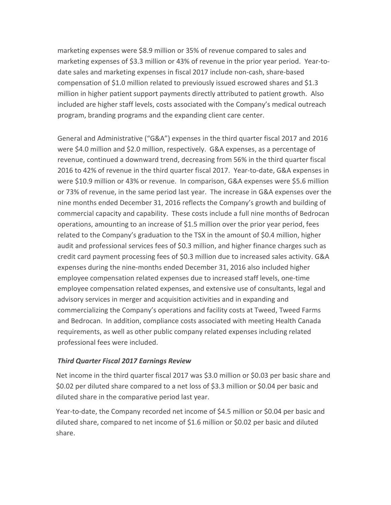marketing expenses were \$8.9 million or 35% of revenue compared to sales and marketing expenses of \$3.3 million or 43% of revenue in the prior year period. Year-todate sales and marketing expenses in fiscal 2017 include non-cash, share-based compensation of \$1.0 million related to previously issued escrowed shares and \$1.3 million in higher patient support payments directly attributed to patient growth. Also included are higher staff levels, costs associated with the Company's medical outreach program, branding programs and the expanding client care center.

General and Administrative ("G&A") expenses in the third quarter fiscal 2017 and 2016 were \$4.0 million and \$2.0 million, respectively. G&A expenses, as a percentage of revenue, continued a downward trend, decreasing from 56% in the third quarter fiscal 2016 to 42% of revenue in the third quarter fiscal 2017. Year-to-date, G&A expenses in were \$10.9 million or 43% or revenue. In comparison, G&A expenses were \$5.6 million or 73% of revenue, in the same period last year. The increase in G&A expenses over the nine months ended December 31, 2016 reflects the Company's growth and building of commercial capacity and capability. These costs include a full nine months of Bedrocan operations, amounting to an increase of \$1.5 million over the prior year period, fees related to the Company's graduation to the TSX in the amount of \$0.4 million, higher audit and professional services fees of \$0.3 million, and higher finance charges such as credit card payment processing fees of \$0.3 million due to increased sales activity. G&A expenses during the nine-months ended December 31, 2016 also included higher employee compensation related expenses due to increased staff levels, one-time employee compensation related expenses, and extensive use of consultants, legal and advisory services in merger and acquisition activities and in expanding and commercializing the Company's operations and facility costs at Tweed, Tweed Farms and Bedrocan. In addition, compliance costs associated with meeting Health Canada requirements, as well as other public company related expenses including related professional fees were included.

## *Third Quarter Fiscal 2017 Earnings Review*

Net income in the third quarter fiscal 2017 was \$3.0 million or \$0.03 per basic share and \$0.02 per diluted share compared to a net loss of \$3.3 million or \$0.04 per basic and diluted share in the comparative period last year.

Year-to-date, the Company recorded net income of \$4.5 million or \$0.04 per basic and diluted share, compared to net income of \$1.6 million or \$0.02 per basic and diluted share.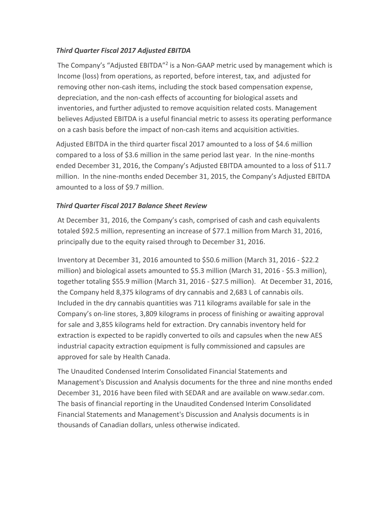## *Third Quarter Fiscal 2017 Adjusted EBITDA*

The Company's "Adjusted EBITDA"<sup>2</sup> is a Non-GAAP metric used by management which is Income (loss) from operations, as reported, before interest, tax, and adjusted for removing other non-cash items, including the stock based compensation expense, depreciation, and the non-cash effects of accounting for biological assets and inventories, and further adjusted to remove acquisition related costs. Management believes Adjusted EBITDA is a useful financial metric to assess its operating performance on a cash basis before the impact of non-cash items and acquisition activities.

Adjusted EBITDA in the third quarter fiscal 2017 amounted to a loss of \$4.6 million compared to a loss of \$3.6 million in the same period last year. In the nine-months ended December 31, 2016, the Company's Adjusted EBITDA amounted to a loss of \$11.7 million. In the nine-months ended December 31, 2015, the Company's Adjusted EBITDA amounted to a loss of \$9.7 million.

## *Third Quarter Fiscal 2017 Balance Sheet Review*

At December 31, 2016, the Company's cash, comprised of cash and cash equivalents totaled \$92.5 million, representing an increase of \$77.1 million from March 31, 2016, principally due to the equity raised through to December 31, 2016.

Inventory at December 31, 2016 amounted to \$50.6 million (March 31, 2016 - \$22.2 million) and biological assets amounted to \$5.3 million (March 31, 2016 - \$5.3 million), together totaling \$55.9 million (March 31, 2016 - \$27.5 million). At December 31, 2016, the Company held 8,375 kilograms of dry cannabis and 2,683 L of cannabis oils. Included in the dry cannabis quantities was 711 kilograms available for sale in the Company's on-line stores, 3,809 kilograms in process of finishing or awaiting approval for sale and 3,855 kilograms held for extraction. Dry cannabis inventory held for extraction is expected to be rapidly converted to oils and capsules when the new AES industrial capacity extraction equipment is fully commissioned and capsules are approved for sale by Health Canada.

The Unaudited Condensed Interim Consolidated Financial Statements and Management's Discussion and Analysis documents for the three and nine months ended December 31, 2016 have been filed with SEDAR and are available on www.sedar.com. The basis of financial reporting in the Unaudited Condensed Interim Consolidated Financial Statements and Management's Discussion and Analysis documents is in thousands of Canadian dollars, unless otherwise indicated.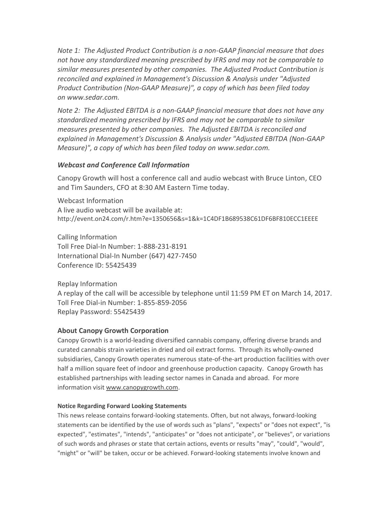*Note 1: The Adjusted Product Contribution is a non-GAAP financial measure that does not have any standardized meaning prescribed by IFRS and may not be comparable to similar measures presented by other companies. The Adjusted Product Contribution is reconciled and explained in Management's Discussion & Analysis under "Adjusted Product Contribution (Non-GAAP Measure)", a copy of which has been filed today on [www.sedar.com.](http://www.sedar.com/)*

*Note 2: The Adjusted EBITDA is a non-GAAP financial measure that does not have any standardized meaning prescribed by IFRS and may not be comparable to similar measures presented by other companies. The Adjusted EBITDA is reconciled and explained in Management's Discussion & Analysis under "Adjusted EBITDA (Non-GAAP Measure)", a copy of which has been filed today on [www.sedar.com.](http://www.sedar.com/)*

#### *Webcast and Conference Call Information*

Canopy Growth will host a conference call and audio webcast with Bruce Linton, CEO and Tim Saunders, CFO at 8:30 AM Eastern Time today.

Webcast Information A live audio webcast will be available at: http://event.on24.com/r.htm?e=1350656&s=1&k=1C4DF1B689538C61DF6BF810ECC1EEEE

Calling Information Toll Free Dial-In Number: 1-888-231-8191 International Dial-In Number (647) 427-7450 Conference ID: 55425439

Replay Information A replay of the call will be accessible by telephone until 11:59 PM ET on March 14, 2017. Toll Free Dial-in Number: 1-855-859-2056 Replay Password: 55425439

## **About Canopy Growth Corporation**

Canopy Growth is a world-leading diversified cannabis company, offering diverse brands and curated cannabis strain varieties in dried and oil extract forms. Through its wholly-owned subsidiaries, Canopy Growth operates numerous state-of-the-art production facilities with over half a million square feet of indoor and greenhouse production capacity. Canopy Growth has established partnerships with leading sector names in Canada and abroad. For more information visit [www.canopygrowth.com.](http://www.canopygrowth.com/)

#### **Notice Regarding Forward Looking Statements**

This news release contains forward-looking statements. Often, but not always, forward-looking statements can be identified by the use of words such as "plans", "expects" or "does not expect", "is expected", "estimates", "intends", "anticipates" or "does not anticipate", or "believes", or variations of such words and phrases or state that certain actions, events or results "may", "could", "would", "might" or "will" be taken, occur or be achieved. Forward-looking statements involve known and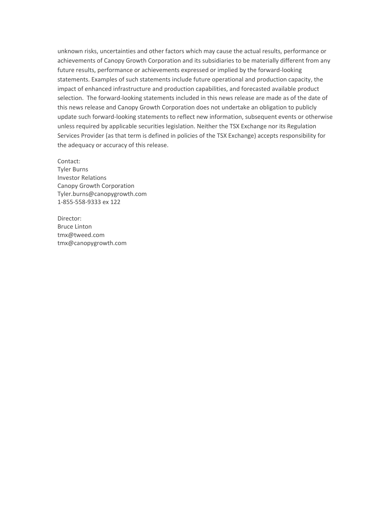unknown risks, uncertainties and other factors which may cause the actual results, performance or achievements of Canopy Growth Corporation and its subsidiaries to be materially different from any future results, performance or achievements expressed or implied by the forward-looking statements. Examples of such statements include future operational and production capacity, the impact of enhanced infrastructure and production capabilities, and forecasted available product selection. The forward-looking statements included in this news release are made as of the date of this news release and Canopy Growth Corporation does not undertake an obligation to publicly update such forward-looking statements to reflect new information, subsequent events or otherwise unless required by applicable securities legislation. Neither the TSX Exchange nor its Regulation Services Provider (as that term is defined in policies of the TSX Exchange) accepts responsibility for the adequacy or accuracy of this release.

Contact: Tyler Burns Investor Relations Canopy Growth Corporation [Tyler.burns@canopygrowth.com](mailto:Tyler.burns@canopygrowth.com) 1-855-558-9333 ex 122

Director: Bruce Linton [tmx@tweed.com](mailto:tmx@tweed.com) [tmx@canopygrowth.com](mailto:tmx@canopygrowth.com)